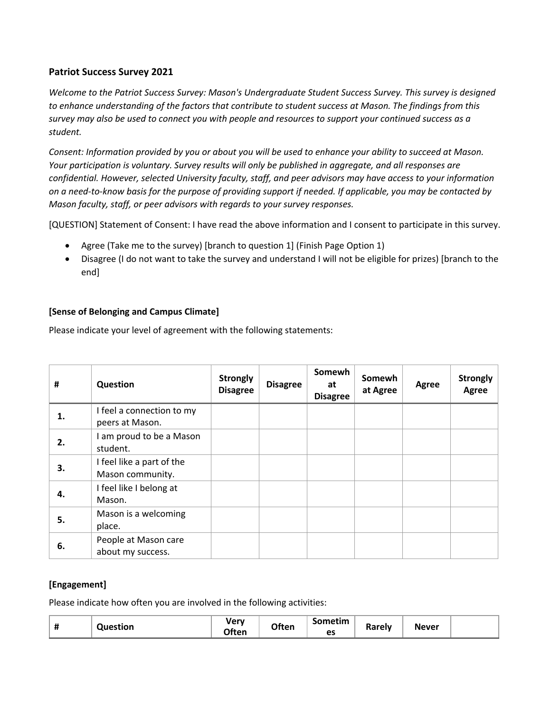## **Patriot Success Survey 2021**

*Welcome to the Patriot Success Survey: Mason's Undergraduate Student Success Survey. This survey is designed to enhance understanding of the factors that contribute to student success at Mason. The findings from this survey may also be used to connect you with people and resources to support your continued success as a student.* 

*Consent: Information provided by you or about you will be used to enhance your ability to succeed at Mason. Your participation is voluntary. Survey results will only be published in aggregate, and all responses are confidential. However, selected University faculty, staff, and peer advisors may have access to your information on a need-to-know basis for the purpose of providing support if needed. If applicable, you may be contacted by Mason faculty, staff, or peer advisors with regards to your survey responses.* 

[QUESTION] Statement of Consent: I have read the above information and I consent to participate in this survey.

- Agree (Take me to the survey) [branch to question 1] (Finish Page Option 1)
- Disagree (I do not want to take the survey and understand I will not be eligible for prizes) [branch to the end]

## **[Sense of Belonging and Campus Climate]**

Please indicate your level of agreement with the following statements:

| #  | Question                                      | <b>Strongly</b><br><b>Disagree</b> | <b>Disagree</b> | Somewh<br>at<br><b>Disagree</b> | Somewh<br>at Agree | Agree | <b>Strongly</b><br>Agree |
|----|-----------------------------------------------|------------------------------------|-----------------|---------------------------------|--------------------|-------|--------------------------|
| 1. | I feel a connection to my<br>peers at Mason.  |                                    |                 |                                 |                    |       |                          |
| 2. | am proud to be a Mason<br>student.            |                                    |                 |                                 |                    |       |                          |
| З. | I feel like a part of the<br>Mason community. |                                    |                 |                                 |                    |       |                          |
| 4. | I feel like I belong at<br>Mason.             |                                    |                 |                                 |                    |       |                          |
| 5. | Mason is a welcoming<br>place.                |                                    |                 |                                 |                    |       |                          |
| 6. | People at Mason care<br>about my success.     |                                    |                 |                                 |                    |       |                          |

## **[Engagement]**

Please indicate how often you are involved in the following activities:

| Question<br>π | ver<br><b>Often</b> | Often | Sometim<br>$\mathbf{a}$<br>ີ | Rarely | <b>Never</b> |  |
|---------------|---------------------|-------|------------------------------|--------|--------------|--|
|---------------|---------------------|-------|------------------------------|--------|--------------|--|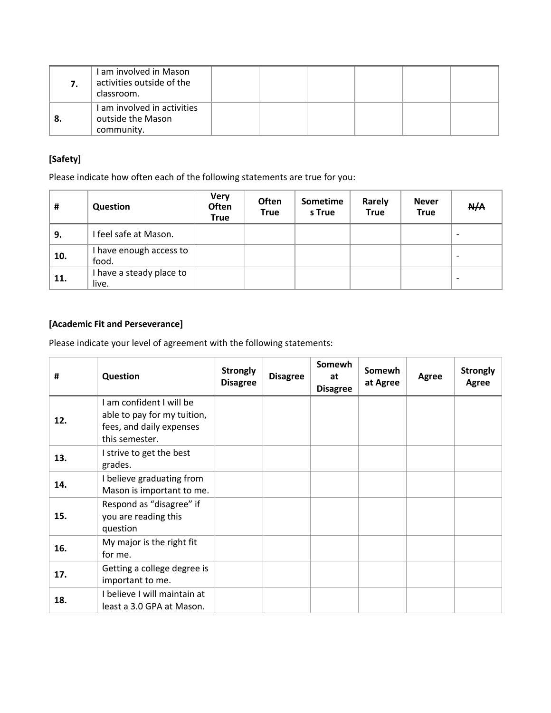| I am involved in Mason<br>activities outside of the<br>classroom. |  |  |  |
|-------------------------------------------------------------------|--|--|--|
| I am involved in activities<br>outside the Mason<br>community.    |  |  |  |

## **[Safety]**

Please indicate how often each of the following statements are true for you:

| #   | Question                          | <b>Very</b><br>Often<br><b>True</b> | <b>Often</b><br><b>True</b> | Sometime<br>s True | Rarely<br><b>True</b> | <b>Never</b><br><b>True</b> | N/A                      |
|-----|-----------------------------------|-------------------------------------|-----------------------------|--------------------|-----------------------|-----------------------------|--------------------------|
| 9.  | I feel safe at Mason.             |                                     |                             |                    |                       |                             | $\overline{\phantom{0}}$ |
| 10. | I have enough access to<br>food.  |                                     |                             |                    |                       |                             | $\overline{\phantom{0}}$ |
| 11. | I have a steady place to<br>live. |                                     |                             |                    |                       |                             | $\overline{\phantom{0}}$ |

# **[Academic Fit and Perseverance]**

Please indicate your level of agreement with the following statements:

| #   | Question                                                                                            | <b>Strongly</b><br><b>Disagree</b> | <b>Disagree</b> | Somewh<br>at<br><b>Disagree</b> | Somewh<br>at Agree | <b>Agree</b> | <b>Strongly</b><br>Agree |
|-----|-----------------------------------------------------------------------------------------------------|------------------------------------|-----------------|---------------------------------|--------------------|--------------|--------------------------|
| 12. | am confident I will be<br>able to pay for my tuition,<br>fees, and daily expenses<br>this semester. |                                    |                 |                                 |                    |              |                          |
| 13. | strive to get the best<br>grades.                                                                   |                                    |                 |                                 |                    |              |                          |
| 14. | I believe graduating from<br>Mason is important to me.                                              |                                    |                 |                                 |                    |              |                          |
| 15. | Respond as "disagree" if<br>you are reading this<br>question                                        |                                    |                 |                                 |                    |              |                          |
| 16. | My major is the right fit<br>for me.                                                                |                                    |                 |                                 |                    |              |                          |
| 17. | Getting a college degree is<br>important to me.                                                     |                                    |                 |                                 |                    |              |                          |
| 18. | believe I will maintain at<br>least a 3.0 GPA at Mason.                                             |                                    |                 |                                 |                    |              |                          |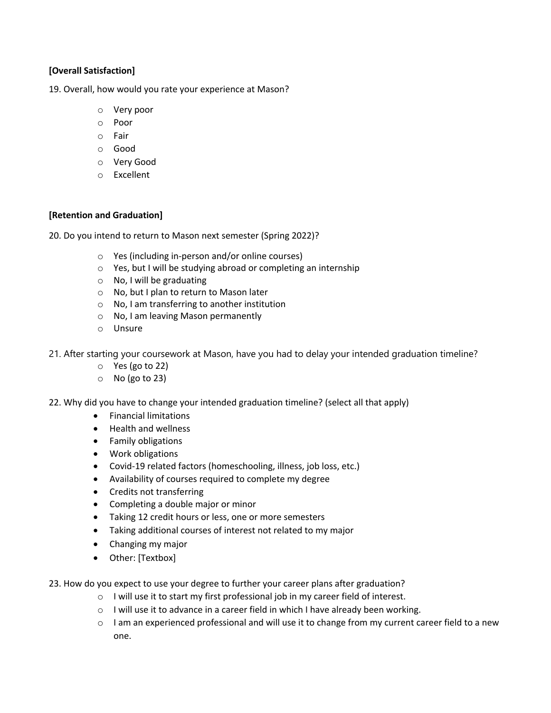#### **[Overall Satisfaction]**

19. Overall, how would you rate your experience at Mason?

- o Very poor
- o Poor
- o Fair
- o Good
- o Very Good
- o Excellent

#### **[Retention and Graduation]**

20. Do you intend to return to Mason next semester (Spring 2022)?

- o Yes (including in-person and/or online courses)
- o Yes, but I will be studying abroad or completing an internship
- o No, I will be graduating
- o No, but I plan to return to Mason later
- o No, I am transferring to another institution
- o No, I am leaving Mason permanently
- o Unsure
- 21. After starting your coursework at Mason, have you had to delay your intended graduation timeline?
	- o Yes (go to 22)
	- o No (go to 23)
- 22. Why did you have to change your intended graduation timeline? (select all that apply)
	- Financial limitations
	- Health and wellness
	- Family obligations
	- Work obligations
	- Covid-19 related factors (homeschooling, illness, job loss, etc.)
	- Availability of courses required to complete my degree
	- Credits not transferring
	- Completing a double major or minor
	- Taking 12 credit hours or less, one or more semesters
	- Taking additional courses of interest not related to my major
	- Changing my major
	- Other: [Textbox]
- 23. How do you expect to use your degree to further your career plans after graduation?
	- o I will use it to start my first professional job in my career field of interest.
	- o I will use it to advance in a career field in which I have already been working.
	- $\circ$  I am an experienced professional and will use it to change from my current career field to a new one.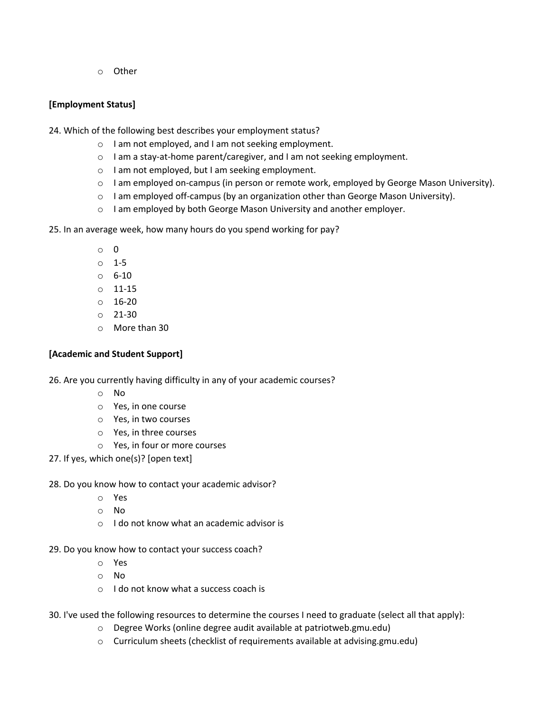o Other

## **[Employment Status]**

24. Which of the following best describes your employment status?

- o I am not employed, and I am not seeking employment.
- o I am a stay-at-home parent/caregiver, and I am not seeking employment.
- o I am not employed, but I am seeking employment.
- o I am employed on-campus (in person or remote work, employed by George Mason University).
- $\circ$  I am employed off-campus (by an organization other than George Mason University).
- o I am employed by both George Mason University and another employer.

25. In an average week, how many hours do you spend working for pay?

- o 0
- o 1-5
- o 6-10
- o 11-15
- o 16-20
- o 21-30
- o More than 30

## **[Academic and Student Support]**

26. Are you currently having difficulty in any of your academic courses?

- o No
- o Yes, in one course
- o Yes, in two courses
- o Yes, in three courses
- o Yes, in four or more courses
- 27. If yes, which one(s)? [open text]

## 28. Do you know how to contact your academic advisor?

- o Yes
- o No
- o I do not know what an academic advisor is
- 29. Do you know how to contact your success coach?
	- o Yes
	- o No
	- o I do not know what a success coach is
- 30. I've used the following resources to determine the courses I need to graduate (select all that apply):
	- o Degree Works (online degree audit available at patriotweb.gmu.edu)
	- o Curriculum sheets (checklist of requirements available at advising.gmu.edu)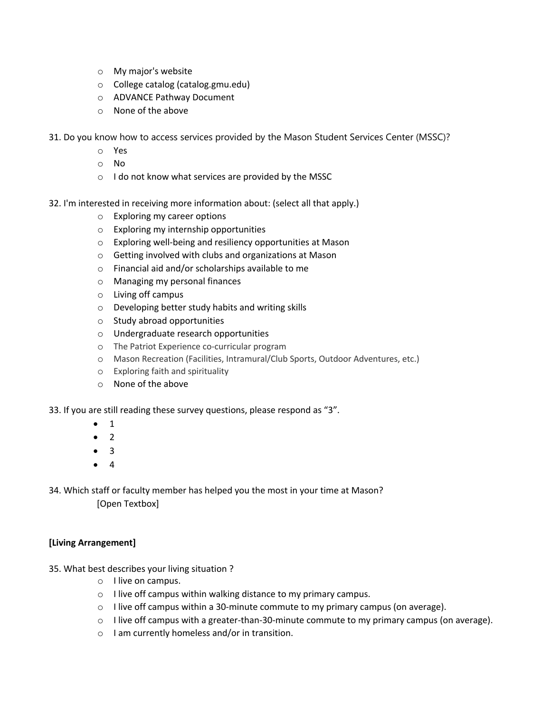- o My major's website
- o College catalog (catalog.gmu.edu)
- o ADVANCE Pathway Document
- o None of the above
- 31. Do you know how to access services provided by the Mason Student Services Center (MSSC)?
	- o Yes
	- o No
	- o I do not know what services are provided by the MSSC
- 32. I'm interested in receiving more information about: (select all that apply.)
	- o Exploring my career options
	- o Exploring my internship opportunities
	- o Exploring well-being and resiliency opportunities at Mason
	- o Getting involved with clubs and organizations at Mason
	- o Financial aid and/or scholarships available to me
	- o Managing my personal finances
	- o Living off campus
	- o Developing better study habits and writing skills
	- o Study abroad opportunities
	- o Undergraduate research opportunities
	- o The Patriot Experience co-curricular program
	- o Mason Recreation (Facilities, Intramural/Club Sports, Outdoor Adventures, etc.)
	- o Exploring faith and spirituality
	- o None of the above

#### 33. If you are still reading these survey questions, please respond as "3".

- 1
- 2
- 3
- 4

34. Which staff or faculty member has helped you the most in your time at Mason? [Open Textbox]

## **[Living Arrangement]**

- 35. What best describes your living situation ?
	- o I live on campus.
	- o I live off campus within walking distance to my primary campus.
	- $\circ$  I live off campus within a 30-minute commute to my primary campus (on average).
	- $\circ$  I live off campus with a greater-than-30-minute commute to my primary campus (on average).
	- o I am currently homeless and/or in transition.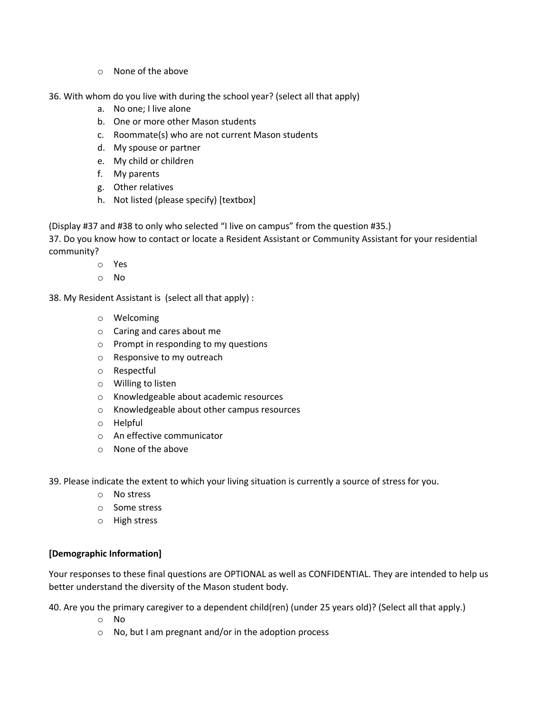- o None of the above
- 36. With whom do you live with during the school year? (select all that apply)
	- a. No one; I live alone
	- b. One or more other Mason students
	- c. Roommate(s) who are not current Mason students
	- d. My spouse or partner
	- e. My child or children
	- f. My parents
	- g. Other relatives
	- h. Not listed (please specify) [textbox]

(Display #37 and #38 to only who selected "I live on campus" from the question #35.)

37. Do you know how to contact or locate a Resident Assistant or Community Assistant for your residential community?

- o Yes
- o No

38. My Resident Assistant is (select all that apply) :

- o Welcoming
- o Caring and cares about me
- o Prompt in responding to my questions
- o Responsive to my outreach
- o Respectful
- o Willing to listen
- o Knowledgeable about academic resources
- o Knowledgeable about other campus resources
- o Helpful
- o An effective communicator
- o None of the above

39. Please indicate the extent to which your living situation is currently a source of stress for you.

- o No stress
- o Some stress
- o High stress

#### **[Demographic Information]**

Your responses to these final questions are OPTIONAL as well as CONFIDENTIAL. They are intended to help us better understand the diversity of the Mason student body.

40. Are you the primary caregiver to a dependent child(ren) (under 25 years old)? (Select all that apply.)

- o No
- o No, but I am pregnant and/or in the adoption process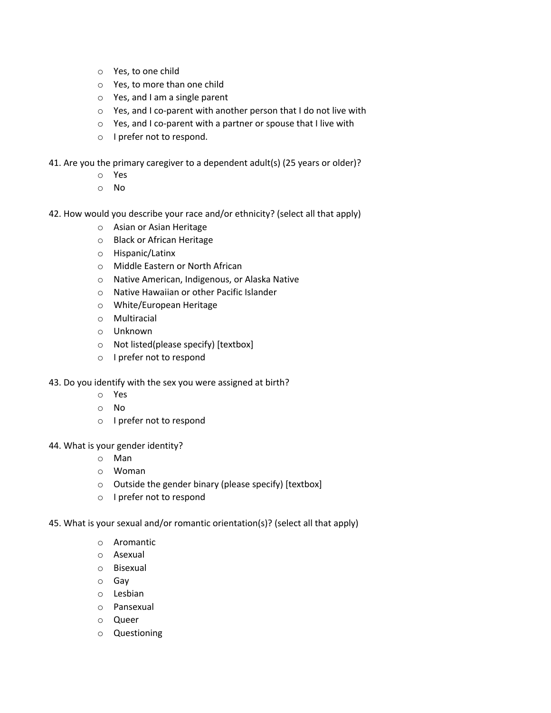- o Yes, to one child
- o Yes, to more than one child
- o Yes, and I am a single parent
- o Yes, and I co-parent with another person that I do not live with
- o Yes, and I co-parent with a partner or spouse that I live with
- o I prefer not to respond.
- 41. Are you the primary caregiver to a dependent adult(s) (25 years or older)?
	- o Yes
	- o No
- 42. How would you describe your race and/or ethnicity? (select all that apply)
	- o Asian or Asian Heritage
	- o Black or African Heritage
	- o Hispanic/Latinx
	- o Middle Eastern or North African
	- o Native American, Indigenous, or Alaska Native
	- o Native Hawaiian or other Pacific Islander
	- o White/European Heritage
	- o Multiracial
	- o Unknown
	- o Not listed(please specify) [textbox]
	- o I prefer not to respond
- 43. Do you identify with the sex you were assigned at birth?
	- o Yes
	- o No
	- o I prefer not to respond
- 44. What is your gender identity?
	- o Man
	- o Woman
	- o Outside the gender binary (please specify) [textbox]
	- o I prefer not to respond
- 45. What is your sexual and/or romantic orientation(s)? (select all that apply)
	- o Aromantic
	- o Asexual
	- o Bisexual
	- o Gay
	- o Lesbian
	- o Pansexual
	- o Queer
	- o Questioning